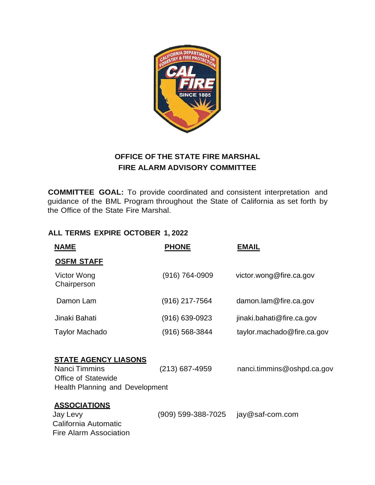

## **OFFICE OF THE STATE FIRE MARSHAL FIRE ALARM ADVISORY COMMITTEE**

**COMMITTEE GOAL:** To provide coordinated and consistent interpretation and guidance of the BML Program throughout the State of California as set forth by the Office of the State Fire Marshal.

## **ALL TERMS EXPIRE OCTOBER 1, 2022**

| <b>NAME</b> |                                                                                                                      | <b>PHONE</b>       | <b>EMAIL</b>               |
|-------------|----------------------------------------------------------------------------------------------------------------------|--------------------|----------------------------|
|             | <b>OSFM STAFF</b>                                                                                                    |                    |                            |
|             | Victor Wong<br>Chairperson                                                                                           | (916) 764-0909     | victor.wong@fire.ca.gov    |
|             | Damon Lam                                                                                                            | (916) 217-7564     | damon.lam@fire.ca.gov      |
|             | Jinaki Bahati                                                                                                        | $(916) 639 - 0923$ | jinaki.bahati@fire.ca.gov  |
|             | Taylor Machado                                                                                                       | (916) 568-3844     | taylor.machado@fire.ca.gov |
|             | <u>STATE AGENCY LIASONS</u><br><b>Nanci Timmins</b><br><b>Office of Statewide</b><br>Health Planning and Development | $(213)$ 687-4959   | nanci.timmins@oshpd.ca.gov |
|             | <b>ASSOCIATIONS</b><br>Jay Levy<br>California Automatic<br>Fire Alarm Association                                    | (909) 599-388-7025 | jay@saf-com.com            |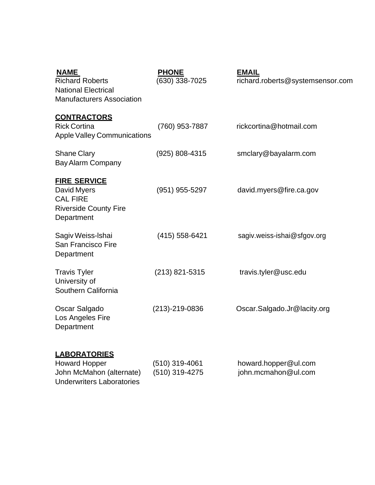| <b>Richard Roberts</b><br><b>National Electrical</b><br><b>Manufacturers Association</b>            | (630) 338-7025   | <b>EMAIL</b><br>richard.roberts@systemsensor.com |
|-----------------------------------------------------------------------------------------------------|------------------|--------------------------------------------------|
| <b>CONTRACTORS</b><br><b>Rick Cortina</b><br><b>Apple Valley Communications</b>                     | (760) 953-7887   | rickcortina@hotmail.com                          |
| <b>Shane Clary</b><br><b>Bay Alarm Company</b>                                                      | (925) 808-4315   | smclary@bayalarm.com                             |
| <b>FIRE SERVICE</b><br>David Myers<br><b>CAL FIRE</b><br><b>Riverside County Fire</b><br>Department | (951) 955-5297   | david.myers@fire.ca.gov                          |
| Sagiv Weiss-Ishai<br>San Francisco Fire<br>Department                                               | $(415)$ 558-6421 | sagiv.weiss-ishai@sfgov.org                      |
| <b>Travis Tyler</b><br>University of<br>Southern California                                         | $(213)$ 821-5315 | travis.tyler@usc.edu                             |
| Oscar Salgado<br>Los Angeles Fire<br>Department                                                     | $(213)-219-0836$ | Oscar.Salgado.Jr@lacity.org                      |
| <b>LABORATORIES</b><br><b>Howard Hopper</b>                                                         | $(510)$ 319-4061 | howard.hopper@ul.com                             |
| John McMahon (alternate)                                                                            | (510) 319-4275   | john.mcmahon@ul.com                              |

Underwriters Laboratories